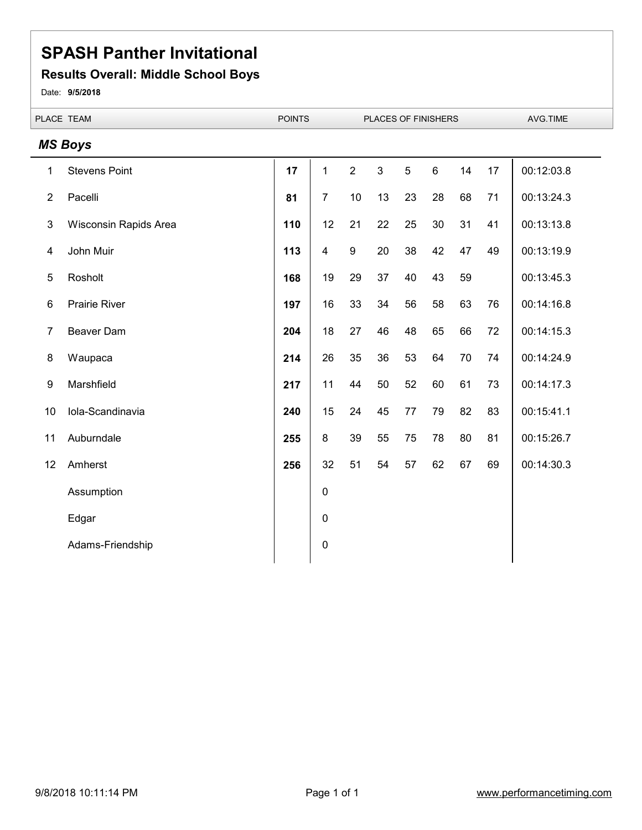#### **Results Overall: Middle School Boys**

Date: **9/5/2018**

| PLACE TEAM       |                       | <b>POINTS</b> | PLACES OF FINISHERS |                  |                |                |       | AVG.TIME |    |            |
|------------------|-----------------------|---------------|---------------------|------------------|----------------|----------------|-------|----------|----|------------|
|                  | <b>MS Boys</b>        |               |                     |                  |                |                |       |          |    |            |
| 1                | <b>Stevens Point</b>  | 17            | $\mathbf{1}$        | $\overline{2}$   | $\mathfrak{S}$ | $\overline{5}$ | $\,6$ | 14       | 17 | 00:12:03.8 |
| $\overline{2}$   | Pacelli               | 81            | $\overline{7}$      | 10               | 13             | 23             | 28    | 68       | 71 | 00:13:24.3 |
| 3                | Wisconsin Rapids Area | 110           | 12                  | 21               | 22             | 25             | 30    | 31       | 41 | 00:13:13.8 |
| 4                | John Muir             | 113           | $\overline{4}$      | $\boldsymbol{9}$ | 20             | 38             | 42    | 47       | 49 | 00:13:19.9 |
| 5                | Rosholt               | 168           | 19                  | 29               | 37             | 40             | 43    | 59       |    | 00:13:45.3 |
| 6                | Prairie River         | 197           | 16                  | 33               | 34             | 56             | 58    | 63       | 76 | 00:14:16.8 |
| $\overline{7}$   | Beaver Dam            | 204           | 18                  | 27               | 46             | 48             | 65    | 66       | 72 | 00:14:15.3 |
| 8                | Waupaca               | 214           | 26                  | 35               | 36             | 53             | 64    | 70       | 74 | 00:14:24.9 |
| $\boldsymbol{9}$ | Marshfield            | 217           | 11                  | 44               | 50             | 52             | 60    | 61       | 73 | 00:14:17.3 |
| 10               | Iola-Scandinavia      | 240           | 15                  | 24               | 45             | 77             | 79    | 82       | 83 | 00:15:41.1 |
| 11               | Auburndale            | 255           | $\bf 8$             | 39               | 55             | 75             | 78    | 80       | 81 | 00:15:26.7 |
| 12               | Amherst               | 256           | 32                  | 51               | 54             | 57             | 62    | 67       | 69 | 00:14:30.3 |
|                  | Assumption            |               | $\pmb{0}$           |                  |                |                |       |          |    |            |
|                  | Edgar                 |               | $\mathbf 0$         |                  |                |                |       |          |    |            |
|                  | Adams-Friendship      |               | $\mathbf 0$         |                  |                |                |       |          |    |            |
|                  |                       |               |                     |                  |                |                |       |          |    |            |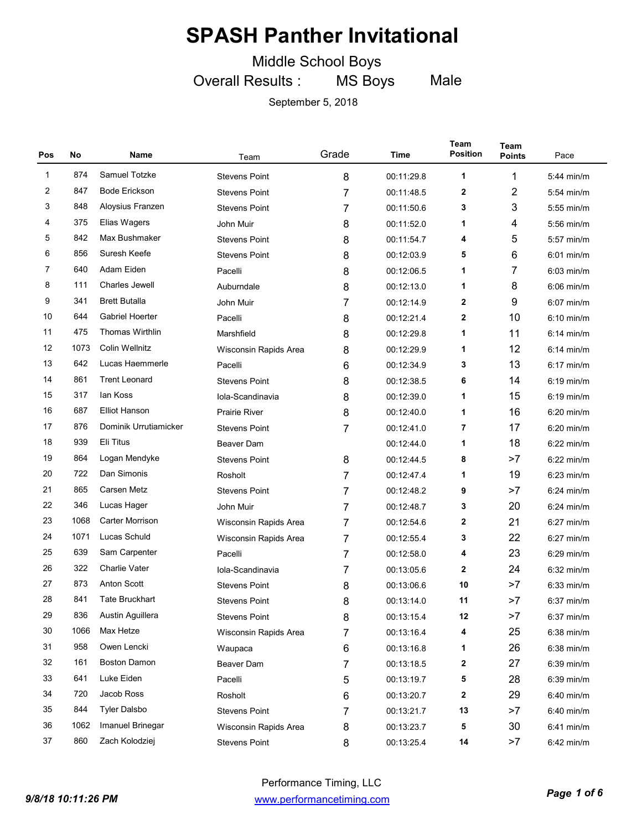Middle School Boys

Overall Results : MS Boys Male

| Pos | No   | Name                   | Team                  | Grade | Time       | Team<br><b>Position</b> | <b>Team</b><br><b>Points</b> | Pace         |
|-----|------|------------------------|-----------------------|-------|------------|-------------------------|------------------------------|--------------|
| 1   | 874  | Samuel Totzke          | <b>Stevens Point</b>  | 8     | 00:11:29.8 | 1                       | 1                            | 5:44 min/m   |
| 2   | 847  | <b>Bode Erickson</b>   | <b>Stevens Point</b>  | 7     | 00:11:48.5 | 2                       | 2                            | $5:54$ min/m |
| 3   | 848  | Aloysius Franzen       | <b>Stevens Point</b>  | 7     | 00:11:50.6 | 3                       | 3                            | $5:55$ min/m |
| 4   | 375  | Elias Wagers           | John Muir             | 8     | 00:11:52.0 | 1                       | 4                            | $5:56$ min/m |
| 5   | 842  | Max Bushmaker          | <b>Stevens Point</b>  | 8     | 00:11:54.7 | 4                       | 5                            | 5:57 min/m   |
| 6   | 856  | Suresh Keefe           | <b>Stevens Point</b>  | 8     | 00:12:03.9 | 5                       | 6                            | $6:01$ min/m |
| 7   | 640  | Adam Eiden             | Pacelli               | 8     | 00:12:06.5 | 1                       | 7                            | $6:03$ min/m |
| 8   | 111  | Charles Jewell         | Auburndale            | 8     | 00:12:13.0 | 1                       | 8                            | $6:06$ min/m |
| 9   | 341  | <b>Brett Butalla</b>   | John Muir             | 7     | 00:12:14.9 | 2                       | 9                            | $6:07$ min/m |
| 10  | 644  | Gabriel Hoerter        | Pacelli               | 8     | 00:12:21.4 | 2                       | 10                           | $6:10$ min/m |
| 11  | 475  | Thomas Wirthlin        | Marshfield            | 8     | 00:12:29.8 | 1                       | 11                           | $6:14$ min/m |
| 12  | 1073 | <b>Colin Wellnitz</b>  | Wisconsin Rapids Area | 8     | 00:12:29.9 | 1                       | 12                           | $6:14$ min/m |
| 13  | 642  | Lucas Haemmerle        | Pacelli               | 6     | 00:12:34.9 | 3                       | 13                           | $6:17$ min/m |
| 14  | 861  | <b>Trent Leonard</b>   | <b>Stevens Point</b>  | 8     | 00:12:38.5 | 6                       | 14                           | $6:19$ min/m |
| 15  | 317  | lan Koss               | Iola-Scandinavia      | 8     | 00:12:39.0 | 1                       | 15                           | $6:19$ min/m |
| 16  | 687  | <b>Elliot Hanson</b>   | <b>Prairie River</b>  | 8     | 00:12:40.0 | 1                       | 16                           | $6:20$ min/m |
| 17  | 876  | Dominik Urrutiamicker  | <b>Stevens Point</b>  | 7     | 00:12:41.0 | 7                       | 17                           | $6:20$ min/m |
| 18  | 939  | Eli Titus              | Beaver Dam            |       | 00:12:44.0 | 1                       | 18                           | $6:22$ min/m |
| 19  | 864  | Logan Mendyke          | <b>Stevens Point</b>  | 8     | 00:12:44.5 | 8                       | >7                           | $6:22$ min/m |
| 20  | 722  | Dan Simonis            | Rosholt               | 7     | 00:12:47.4 | 1                       | 19                           | $6:23$ min/m |
| 21  | 865  | Carsen Metz            | <b>Stevens Point</b>  | 7     | 00:12:48.2 | 9                       | >7                           | $6:24$ min/m |
| 22  | 346  | Lucas Hager            | John Muir             | 7     | 00:12:48.7 | 3                       | 20                           | $6:24$ min/m |
| 23  | 1068 | <b>Carter Morrison</b> | Wisconsin Rapids Area | 7     | 00:12:54.6 | 2                       | 21                           | $6:27$ min/m |
| 24  | 1071 | Lucas Schuld           | Wisconsin Rapids Area | 7     | 00:12:55.4 | 3                       | 22                           | $6:27$ min/m |
| 25  | 639  | Sam Carpenter          | Pacelli               | 7     | 00:12:58.0 | 4                       | 23                           | $6:29$ min/m |
| 26  | 322  | <b>Charlie Vater</b>   | Iola-Scandinavia      | 7     | 00:13:05.6 | 2                       | 24                           | $6:32$ min/m |
| 27  | 873  | <b>Anton Scott</b>     | <b>Stevens Point</b>  | 8     | 00:13:06.6 | 10                      | >7                           | $6:33$ min/m |
| 28  | 841  | <b>Tate Bruckhart</b>  | <b>Stevens Point</b>  | 8     | 00:13:14.0 | 11                      | >7                           | $6:37$ min/m |
| 29  | 836  | Austin Aguillera       | <b>Stevens Point</b>  | 8     | 00:13:15.4 | 12                      | >7                           | $6:37$ min/m |
| 30  | 1066 | Max Hetze              | Wisconsin Rapids Area | 7     | 00:13:16.4 | 4                       | 25                           | $6:38$ min/m |
| 31  | 958  | Owen Lencki            | Waupaca               | 6     | 00:13:16.8 | 1                       | 26                           | $6:38$ min/m |
| 32  | 161  | <b>Boston Damon</b>    | Beaver Dam            | 7     | 00:13:18.5 | 2                       | 27                           | 6:39 min/m   |
| 33  | 641  | Luke Eiden             | Pacelli               | 5     | 00:13:19.7 | 5                       | 28                           | 6:39 min/m   |
| 34  | 720  | Jacob Ross             | Rosholt               | 6     | 00:13:20.7 | 2                       | 29                           | 6:40 min/m   |
| 35  | 844  | <b>Tyler Dalsbo</b>    | <b>Stevens Point</b>  | 7     | 00:13:21.7 | 13                      | >7                           | 6:40 min/m   |
| 36  | 1062 | Imanuel Brinegar       | Wisconsin Rapids Area | 8     | 00:13:23.7 | 5                       | 30                           | 6:41 min/m   |
| 37  | 860  | Zach Kolodziej         | <b>Stevens Point</b>  | 8     | 00:13:25.4 | 14                      | >7                           | 6:42 min/m   |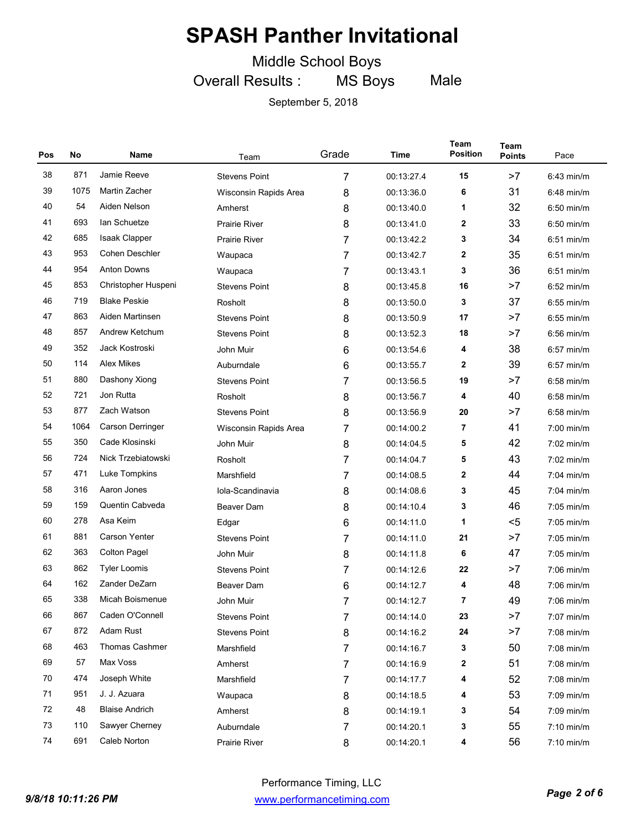Middle School Boys

Overall Results : MS Boys Male

| Pos | No   | Name                  | Team                  | Grade | Time       | Team<br><b>Position</b> | Team<br><b>Points</b> | Pace         |
|-----|------|-----------------------|-----------------------|-------|------------|-------------------------|-----------------------|--------------|
| 38  | 871  | Jamie Reeve           | <b>Stevens Point</b>  | 7     | 00:13:27.4 | 15                      | >7                    | $6:43$ min/m |
| 39  | 1075 | <b>Martin Zacher</b>  | Wisconsin Rapids Area | 8     | 00:13:36.0 | 6                       | 31                    | $6:48$ min/m |
| 40  | 54   | Aiden Nelson          | Amherst               | 8     | 00:13:40.0 | 1                       | 32                    | $6:50$ min/m |
| 41  | 693  | lan Schuetze          | <b>Prairie River</b>  | 8     | 00:13:41.0 | 2                       | 33                    | $6:50$ min/m |
| 42  | 685  | Isaak Clapper         | <b>Prairie River</b>  | 7     | 00:13:42.2 | 3                       | 34                    | $6:51$ min/m |
| 43  | 953  | <b>Cohen Deschler</b> | Waupaca               | 7     | 00:13:42.7 | 2                       | 35                    | $6:51$ min/m |
| 44  | 954  | <b>Anton Downs</b>    | Waupaca               | 7     | 00:13:43.1 | 3                       | 36                    | $6:51$ min/m |
| 45  | 853  | Christopher Huspeni   | <b>Stevens Point</b>  | 8     | 00:13:45.8 | 16                      | >7                    | $6:52$ min/m |
| 46  | 719  | <b>Blake Peskie</b>   | Rosholt               | 8     | 00:13:50.0 | 3                       | 37                    | $6:55$ min/m |
| 47  | 863  | Aiden Martinsen       | <b>Stevens Point</b>  | 8     | 00:13:50.9 | 17                      | >7                    | $6:55$ min/m |
| 48  | 857  | Andrew Ketchum        | <b>Stevens Point</b>  | 8     | 00:13:52.3 | 18                      | >7                    | $6:56$ min/m |
| 49  | 352  | Jack Kostroski        | John Muir             | 6     | 00:13:54.6 | 4                       | 38                    | $6:57$ min/m |
| 50  | 114  | Alex Mikes            | Auburndale            | 6     | 00:13:55.7 | 2                       | 39                    | $6:57$ min/m |
| 51  | 880  | Dashony Xiong         | <b>Stevens Point</b>  | 7     | 00:13:56.5 | 19                      | >7                    | $6:58$ min/m |
| 52  | 721  | Jon Rutta             | Rosholt               | 8     | 00:13:56.7 | 4                       | 40                    | 6:58 min/m   |
| 53  | 877  | Zach Watson           | <b>Stevens Point</b>  | 8     | 00:13:56.9 | 20                      | >7                    | $6:58$ min/m |
| 54  | 1064 | Carson Derringer      | Wisconsin Rapids Area | 7     | 00:14:00.2 | 7                       | 41                    | $7:00$ min/m |
| 55  | 350  | Cade Klosinski        | John Muir             | 8     | 00:14:04.5 | 5                       | 42                    | $7:02$ min/m |
| 56  | 724  | Nick Trzebiatowski    | Rosholt               | 7     | 00:14:04.7 | 5                       | 43                    | $7:02$ min/m |
| 57  | 471  | Luke Tompkins         | Marshfield            | 7     | 00:14:08.5 | 2                       | 44                    | $7:04$ min/m |
| 58  | 316  | Aaron Jones           | Iola-Scandinavia      | 8     | 00:14:08.6 | 3                       | 45                    | $7:04$ min/m |
| 59  | 159  | Quentin Cabveda       | Beaver Dam            | 8     | 00:14:10.4 | 3                       | 46                    | $7:05$ min/m |
| 60  | 278  | Asa Keim              | Edgar                 | 6     | 00:14:11.0 | 1                       | $<$ 5                 | $7:05$ min/m |
| 61  | 881  | <b>Carson Yenter</b>  | <b>Stevens Point</b>  | 7     | 00:14:11.0 | 21                      | >7                    | $7:05$ min/m |
| 62  | 363  | <b>Colton Pagel</b>   | John Muir             | 8     | 00:14:11.8 | 6                       | 47                    | 7:05 min/m   |
| 63  | 862  | <b>Tyler Loomis</b>   | <b>Stevens Point</b>  | 7     | 00:14:12.6 | 22                      | >7                    | $7:06$ min/m |
| 64  | 162  | Zander DeZarn         | Beaver Dam            | 6     | 00:14:12.7 | 4                       | 48                    | 7:06 min/m   |
| 65  | 338  | Micah Boismenue       | John Muir             | 7     | 00:14:12.7 | 7                       | 49                    | $7:06$ min/m |
| 66  | 867  | Caden O'Connell       | <b>Stevens Point</b>  | 7     | 00:14:14.0 | 23                      | >7                    | 7:07 min/m   |
| 67  | 872  | Adam Rust             | <b>Stevens Point</b>  | 8     | 00:14:16.2 | 24                      | >7                    | 7:08 min/m   |
| 68  | 463  | <b>Thomas Cashmer</b> | Marshfield            | 7     | 00:14:16.7 | 3                       | 50                    | 7:08 min/m   |
| 69  | 57   | Max Voss              | Amherst               | 7     | 00:14:16.9 | 2                       | 51                    | 7:08 min/m   |
| 70  | 474  | Joseph White          | Marshfield            | 7     | 00:14:17.7 | 4                       | 52                    | $7:08$ min/m |
| 71  | 951  | J. J. Azuara          | Waupaca               | 8     | 00:14:18.5 | 4                       | 53                    | 7:09 min/m   |
| 72  | 48   | <b>Blaise Andrich</b> | Amherst               | 8     | 00:14:19.1 | 3                       | 54                    | 7:09 min/m   |
| 73  | 110  | Sawyer Cherney        | Auburndale            | 7     | 00:14:20.1 | 3                       | 55                    | $7:10$ min/m |
| 74  | 691  | Caleb Norton          | Prairie River         | 8     | 00:14:20.1 | 4                       | 56                    | 7:10 min/m   |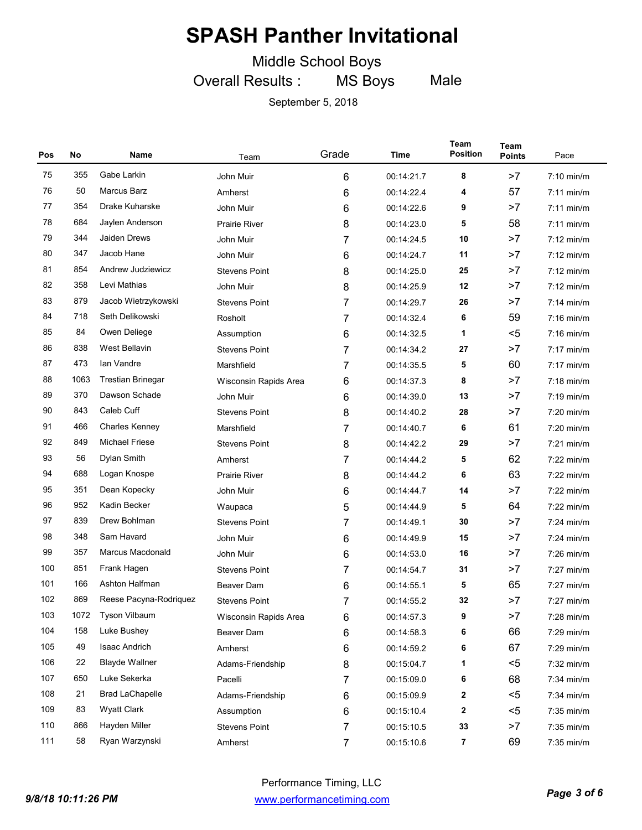Middle School Boys

Overall Results : MS Boys Male

| Pos | No   | Name                     | Team                  | Grade          | Time       | Team<br><b>Position</b> | <b>Team</b><br><b>Points</b> | Pace         |
|-----|------|--------------------------|-----------------------|----------------|------------|-------------------------|------------------------------|--------------|
| 75  | 355  | Gabe Larkin              | John Muir             | 6              | 00:14:21.7 | 8                       | >7                           | $7:10$ min/m |
| 76  | 50   | Marcus Barz              | Amherst               | 6              | 00:14:22.4 | 4                       | 57                           | $7:11$ min/m |
| 77  | 354  | Drake Kuharske           | John Muir             | 6              | 00:14:22.6 | 9                       | >7                           | $7:11$ min/m |
| 78  | 684  | Jaylen Anderson          | <b>Prairie River</b>  | 8              | 00:14:23.0 | 5                       | 58                           | $7:11$ min/m |
| 79  | 344  | Jaiden Drews             | John Muir             | 7              | 00:14:24.5 | 10                      | >7                           | $7:12$ min/m |
| 80  | 347  | Jacob Hane               | John Muir             | 6              | 00:14:24.7 | 11                      | >7                           | $7:12$ min/m |
| 81  | 854  | Andrew Judziewicz        | <b>Stevens Point</b>  | 8              | 00:14:25.0 | 25                      | >7                           | $7:12$ min/m |
| 82  | 358  | Levi Mathias             | John Muir             | 8              | 00:14:25.9 | 12                      | >7                           | $7:12$ min/m |
| 83  | 879  | Jacob Wietrzykowski      | <b>Stevens Point</b>  | 7              | 00:14:29.7 | 26                      | >7                           | $7:14$ min/m |
| 84  | 718  | Seth Delikowski          | Rosholt               | 7              | 00:14:32.4 | 6                       | 59                           | $7:16$ min/m |
| 85  | 84   | Owen Deliege             | Assumption            | 6              | 00:14:32.5 | 1                       | $5$                          | $7:16$ min/m |
| 86  | 838  | <b>West Bellavin</b>     | <b>Stevens Point</b>  | 7              | 00:14:34.2 | 27                      | >7                           | $7:17$ min/m |
| 87  | 473  | Ian Vandre               | Marshfield            | 7              | 00:14:35.5 | 5                       | 60                           | $7:17$ min/m |
| 88  | 1063 | <b>Trestian Brinegar</b> | Wisconsin Rapids Area | 6              | 00:14:37.3 | 8                       | >7                           | $7:18$ min/m |
| 89  | 370  | Dawson Schade            | John Muir             | 6              | 00:14:39.0 | 13                      | >7                           | $7:19$ min/m |
| 90  | 843  | Caleb Cuff               | <b>Stevens Point</b>  | 8              | 00:14:40.2 | 28                      | >7                           | 7:20 min/m   |
| 91  | 466  | Charles Kenney           | Marshfield            | 7              | 00:14:40.7 | 6                       | 61                           | 7:20 min/m   |
| 92  | 849  | <b>Michael Friese</b>    | <b>Stevens Point</b>  | 8              | 00:14:42.2 | 29                      | >7                           | $7:21$ min/m |
| 93  | 56   | Dylan Smith              | Amherst               | 7              | 00:14:44.2 | 5                       | 62                           | $7:22$ min/m |
| 94  | 688  | Logan Knospe             | <b>Prairie River</b>  | 8              | 00:14:44.2 | 6                       | 63                           | $7:22$ min/m |
| 95  | 351  | Dean Kopecky             | John Muir             | 6              | 00:14:44.7 | 14                      | >7                           | $7:22$ min/m |
| 96  | 952  | Kadin Becker             | Waupaca               | 5              | 00:14:44.9 | 5                       | 64                           | 7:22 min/m   |
| 97  | 839  | Drew Bohlman             | <b>Stevens Point</b>  | 7              | 00:14:49.1 | 30                      | >7                           | $7:24$ min/m |
| 98  | 348  | Sam Havard               | John Muir             | 6              | 00:14:49.9 | 15                      | >7                           | $7:24$ min/m |
| 99  | 357  | Marcus Macdonald         | John Muir             | 6              | 00:14:53.0 | 16                      | >7                           | 7:26 min/m   |
| 100 | 851  | Frank Hagen              | <b>Stevens Point</b>  | 7              | 00:14:54.7 | 31                      | >7                           | 7:27 min/m   |
| 101 | 166  | Ashton Halfman           | <b>Beaver Dam</b>     | 6              | 00:14:55.1 | 5                       | 65                           | 7:27 min/m   |
| 102 | 869  | Reese Pacyna-Rodriguez   | <b>Stevens Point</b>  | 7              | 00:14:55.2 | 32                      | >7                           | $7:27$ min/m |
| 103 | 1072 | Tyson Vilbaum            | Wisconsin Rapids Area | 6              | 00:14:57.3 | 9                       | >7                           | 7:28 min/m   |
| 104 | 158  | Luke Bushey              | Beaver Dam            | 6              | 00:14:58.3 | 6                       | 66                           | 7:29 min/m   |
| 105 | 49   | Isaac Andrich            | Amherst               | 6              | 00:14:59.2 | 6                       | 67                           | 7:29 min/m   |
| 106 | 22   | <b>Blayde Wallner</b>    | Adams-Friendship      | 8              | 00:15:04.7 | 1                       | $5$                          | 7:32 min/m   |
| 107 | 650  | Luke Sekerka             | Pacelli               | 7              | 00:15:09.0 | 6                       | 68                           | 7:34 min/m   |
| 108 | 21   | <b>Brad LaChapelle</b>   | Adams-Friendship      | 6              | 00:15:09.9 | 2                       | $5$                          | 7:34 min/m   |
| 109 | 83   | <b>Wyatt Clark</b>       | Assumption            | 6              | 00:15:10.4 | 2                       | $5$                          | 7:35 min/m   |
| 110 | 866  | Hayden Miller            | <b>Stevens Point</b>  | 7              | 00:15:10.5 | 33                      | >7                           | 7:35 min/m   |
| 111 | 58   | Ryan Warzynski           | Amherst               | $\overline{7}$ | 00:15:10.6 | 7                       | 69                           | 7:35 min/m   |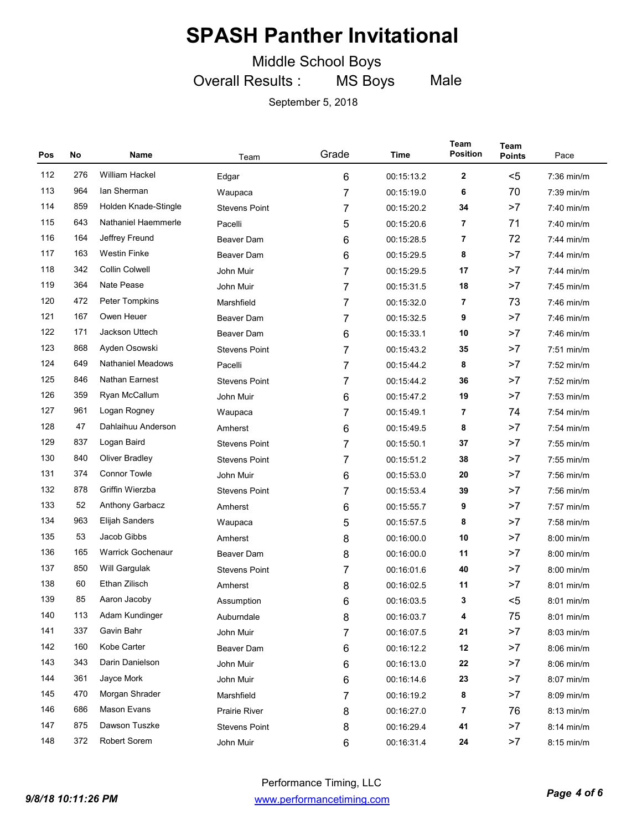Middle School Boys

Overall Results : MS Boys Male

| Pos | No  | Name                     | Team                 | Grade | Time       | Team<br><b>Position</b> | Team<br><b>Points</b> | Pace         |
|-----|-----|--------------------------|----------------------|-------|------------|-------------------------|-----------------------|--------------|
| 112 | 276 | William Hackel           | Edgar                | 6     | 00:15:13.2 | $\mathbf{2}$            | $5$                   | 7:36 min/m   |
| 113 | 964 | lan Sherman              | Waupaca              | 7     | 00:15:19.0 | 6                       | 70                    | 7:39 min/m   |
| 114 | 859 | Holden Knade-Stingle     | <b>Stevens Point</b> | 7     | 00:15:20.2 | 34                      | >7                    | 7:40 min/m   |
| 115 | 643 | Nathaniel Haemmerle      | Pacelli              | 5     | 00:15:20.6 | 7                       | 71                    | $7:40$ min/m |
| 116 | 164 | Jeffrey Freund           | <b>Beaver Dam</b>    | 6     | 00:15:28.5 | 7                       | 72                    | $7:44$ min/m |
| 117 | 163 | <b>Westin Finke</b>      | <b>Beaver Dam</b>    | 6     | 00:15:29.5 | 8                       | >7                    | 7:44 min/m   |
| 118 | 342 | <b>Collin Colwell</b>    | John Muir            | 7     | 00:15:29.5 | 17                      | >7                    | 7:44 min/m   |
| 119 | 364 | Nate Pease               | John Muir            | 7     | 00:15:31.5 | 18                      | >7                    | 7:45 min/m   |
| 120 | 472 | Peter Tompkins           | Marshfield           | 7     | 00:15:32.0 | 7                       | 73                    | 7:46 min/m   |
| 121 | 167 | Owen Heuer               | Beaver Dam           | 7     | 00:15:32.5 | 9                       | >7                    | 7:46 min/m   |
| 122 | 171 | Jackson Uttech           | <b>Beaver Dam</b>    | 6     | 00:15:33.1 | 10                      | >7                    | 7:46 min/m   |
| 123 | 868 | Ayden Osowski            | <b>Stevens Point</b> | 7     | 00:15:43.2 | 35                      | >7                    | $7:51$ min/m |
| 124 | 649 | <b>Nathaniel Meadows</b> | Pacelli              | 7     | 00:15:44.2 | 8                       | >7                    | 7:52 min/m   |
| 125 | 846 | Nathan Earnest           | <b>Stevens Point</b> | 7     | 00:15:44.2 | 36                      | >7                    | $7:52$ min/m |
| 126 | 359 | Ryan McCallum            | John Muir            | 6     | 00:15:47.2 | 19                      | >7                    | $7:53$ min/m |
| 127 | 961 | Logan Rogney             | Waupaca              | 7     | 00:15:49.1 | 7                       | 74                    | 7:54 min/m   |
| 128 | 47  | Dahlaihuu Anderson       | Amherst              | 6     | 00:15:49.5 | 8                       | >7                    | 7:54 min/m   |
| 129 | 837 | Logan Baird              | <b>Stevens Point</b> | 7     | 00:15:50.1 | 37                      | >7                    | 7:55 min/m   |
| 130 | 840 | <b>Oliver Bradley</b>    | <b>Stevens Point</b> | 7     | 00:15:51.2 | 38                      | >7                    | 7:55 min/m   |
| 131 | 374 | <b>Connor Towle</b>      | John Muir            | 6     | 00:15:53.0 | 20                      | >7                    | $7:56$ min/m |
| 132 | 878 | Griffin Wierzba          | <b>Stevens Point</b> | 7     | 00:15:53.4 | 39                      | >7                    | $7:56$ min/m |
| 133 | 52  | Anthony Garbacz          | Amherst              | 6     | 00:15:55.7 | 9                       | >7                    | 7:57 min/m   |
| 134 | 963 | Elijah Sanders           | Waupaca              | 5     | 00:15:57.5 | 8                       | >7                    | 7:58 min/m   |
| 135 | 53  | Jacob Gibbs              | Amherst              | 8     | 00:16:00.0 | 10                      | >7                    | 8:00 min/m   |
| 136 | 165 | <b>Warrick Gochenaur</b> | <b>Beaver Dam</b>    | 8     | 00:16:00.0 | 11                      | >7                    | 8:00 min/m   |
| 137 | 850 | Will Gargulak            | <b>Stevens Point</b> | 7     | 00:16:01.6 | 40                      | >7                    | 8:00 min/m   |
| 138 | 60  | Ethan Zilisch            | Amherst              | 8     | 00:16:02.5 | 11                      | >7                    | $8:01$ min/m |
| 139 | 85  | Aaron Jacoby             | Assumption           | 6     | 00:16:03.5 | 3                       | $<$ 5                 | $8:01$ min/m |
| 140 | 113 | Adam Kundinger           | Auburndale           | 8     | 00:16:03.7 | 4                       | 75                    | 8:01 min/m   |
| 141 | 337 | Gavin Bahr               | John Muir            | 7     | 00:16:07.5 | 21                      | >7                    | 8:03 min/m   |
| 142 | 160 | Kobe Carter              | Beaver Dam           | 6     | 00:16:12.2 | 12                      | >7                    | 8:06 min/m   |
| 143 | 343 | Darin Danielson          | John Muir            | 6     | 00:16:13.0 | 22                      | >7                    | 8:06 min/m   |
| 144 | 361 | Jayce Mork               | John Muir            | 6     | 00:16:14.6 | 23                      | >7                    | 8:07 min/m   |
| 145 | 470 | Morgan Shrader           | Marshfield           | 7     | 00:16:19.2 | 8                       | >7                    | 8:09 min/m   |
| 146 | 686 | Mason Evans              | Prairie River        | 8     | 00:16:27.0 | 7                       | 76                    | 8:13 min/m   |
| 147 | 875 | Dawson Tuszke            | <b>Stevens Point</b> | 8     | 00:16:29.4 | 41                      | >7                    | 8:14 min/m   |
| 148 | 372 | Robert Sorem             | John Muir            | 6     | 00:16:31.4 | 24                      | >7                    | 8:15 min/m   |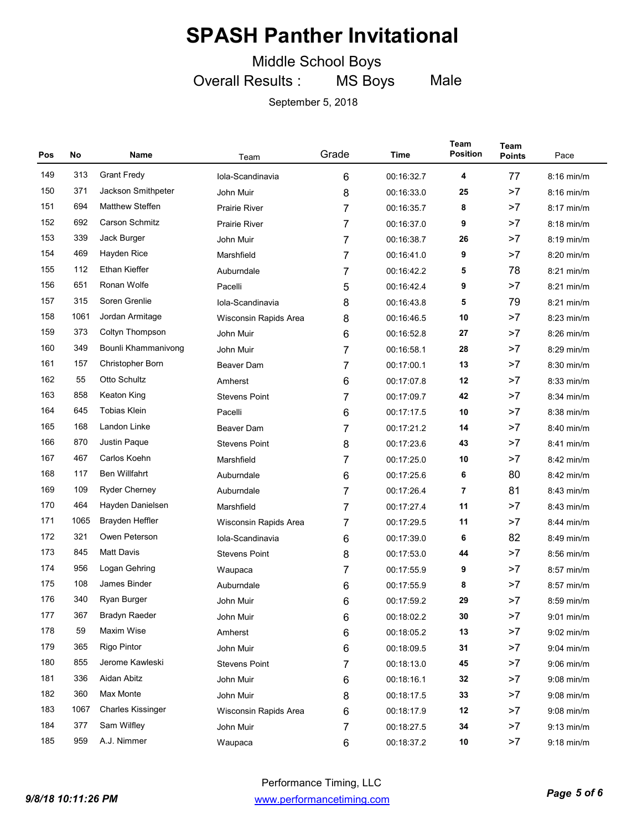Middle School Boys

Overall Results : MS Boys Male

| Pos | No   | Name                     | Team                  | Grade | Time       | Team<br><b>Position</b> | Team<br><b>Points</b> | Pace         |
|-----|------|--------------------------|-----------------------|-------|------------|-------------------------|-----------------------|--------------|
| 149 | 313  | <b>Grant Fredy</b>       | Iola-Scandinavia      | 6     | 00:16:32.7 | 4                       | 77                    | 8:16 min/m   |
| 150 | 371  | Jackson Smithpeter       | John Muir             | 8     | 00:16:33.0 | 25                      | >7                    | $8:16$ min/m |
| 151 | 694  | <b>Matthew Steffen</b>   | <b>Prairie River</b>  | 7     | 00:16:35.7 | 8                       | >7                    | $8:17$ min/m |
| 152 | 692  | <b>Carson Schmitz</b>    | <b>Prairie River</b>  | 7     | 00:16:37.0 | 9                       | >7                    | $8:18$ min/m |
| 153 | 339  | Jack Burger              | John Muir             | 7     | 00:16:38.7 | 26                      | >7                    | 8:19 min/m   |
| 154 | 469  | Hayden Rice              | Marshfield            | 7     | 00:16:41.0 | 9                       | >7                    | $8:20$ min/m |
| 155 | 112  | <b>Ethan Kieffer</b>     | Auburndale            | 7     | 00:16:42.2 | 5                       | 78                    | $8:21$ min/m |
| 156 | 651  | Ronan Wolfe              | Pacelli               | 5     | 00:16:42.4 | 9                       | >7                    | $8:21$ min/m |
| 157 | 315  | Soren Grenlie            | Iola-Scandinavia      | 8     | 00:16:43.8 | 5                       | 79                    | 8:21 min/m   |
| 158 | 1061 | Jordan Armitage          | Wisconsin Rapids Area | 8     | 00:16:46.5 | 10                      | >7                    | $8:23$ min/m |
| 159 | 373  | Coltyn Thompson          | John Muir             | 6     | 00:16:52.8 | 27                      | >7                    | $8:26$ min/m |
| 160 | 349  | Bounli Khammanivong      | John Muir             | 7     | 00:16:58.1 | 28                      | >7                    | $8:29$ min/m |
| 161 | 157  | <b>Christopher Born</b>  | Beaver Dam            | 7     | 00:17:00.1 | 13                      | >7                    | 8:30 min/m   |
| 162 | 55   | Otto Schultz             | Amherst               | 6     | 00:17:07.8 | 12                      | >7                    | $8:33$ min/m |
| 163 | 858  | Keaton King              | <b>Stevens Point</b>  | 7     | 00:17:09.7 | 42                      | >7                    | 8:34 min/m   |
| 164 | 645  | <b>Tobias Klein</b>      | Pacelli               | 6     | 00:17:17.5 | 10                      | >7                    | $8:38$ min/m |
| 165 | 168  | Landon Linke             | <b>Beaver Dam</b>     | 7     | 00:17:21.2 | 14                      | >7                    | 8:40 min/m   |
| 166 | 870  | Justin Paque             | <b>Stevens Point</b>  | 8     | 00:17:23.6 | 43                      | >7                    | $8:41$ min/m |
| 167 | 467  | Carlos Koehn             | Marshfield            | 7     | 00:17:25.0 | 10                      | >7                    | $8:42$ min/m |
| 168 | 117  | <b>Ben Willfahrt</b>     | Auburndale            | 6     | 00:17:25.6 | 6                       | 80                    | $8:42$ min/m |
| 169 | 109  | <b>Ryder Cherney</b>     | Auburndale            | 7     | 00:17:26.4 | 7                       | 81                    | 8:43 min/m   |
| 170 | 464  | Hayden Danielsen         | Marshfield            | 7     | 00:17:27.4 | 11                      | >7                    | $8:43$ min/m |
| 171 | 1065 | Brayden Heffler          | Wisconsin Rapids Area | 7     | 00:17:29.5 | 11                      | >7                    | $8:44$ min/m |
| 172 | 321  | Owen Peterson            | Iola-Scandinavia      | 6     | 00:17:39.0 | 6                       | 82                    | 8:49 min/m   |
| 173 | 845  | <b>Matt Davis</b>        | <b>Stevens Point</b>  | 8     | 00:17:53.0 | 44                      | >7                    | 8:56 min/m   |
| 174 | 956  | Logan Gehring            | Waupaca               | 7     | 00:17:55.9 | 9                       | >7                    | $8:57$ min/m |
| 175 | 108  | James Binder             | Auburndale            | 6     | 00:17:55.9 | 8                       | >7                    | 8:57 min/m   |
| 176 | 340  | Ryan Burger              | John Muir             | 6     | 00:17:59.2 | 29                      | >7                    | 8:59 min/m   |
| 177 | 367  | <b>Bradyn Raeder</b>     | John Muir             | 6     | 00:18:02.2 | 30                      | >7                    | 9:01 min/m   |
| 178 | 59   | Maxim Wise               | Amherst               | 6     | 00:18:05.2 | 13                      | >7                    | $9:02$ min/m |
| 179 | 365  | <b>Rigo Pintor</b>       | John Muir             | 6     | 00:18:09.5 | 31                      | >7                    | $9:04$ min/m |
| 180 | 855  | Jerome Kawleski          | <b>Stevens Point</b>  | 7     | 00:18:13.0 | 45                      | >7                    | $9:06$ min/m |
| 181 | 336  | Aidan Abitz              | John Muir             | 6     | 00:18:16.1 | 32                      | >7                    | $9:08$ min/m |
| 182 | 360  | Max Monte                | John Muir             | 8     | 00:18:17.5 | 33                      | >7                    | $9:08$ min/m |
| 183 | 1067 | <b>Charles Kissinger</b> | Wisconsin Rapids Area | 6     | 00:18:17.9 | 12                      | >7                    | $9:08$ min/m |
| 184 | 377  | Sam Wilfley              | John Muir             | 7     | 00:18:27.5 | 34                      | >7                    | $9:13$ min/m |
| 185 | 959  | A.J. Nimmer              | Waupaca               | 6     | 00:18:37.2 | 10                      | >7                    | 9:18 min/m   |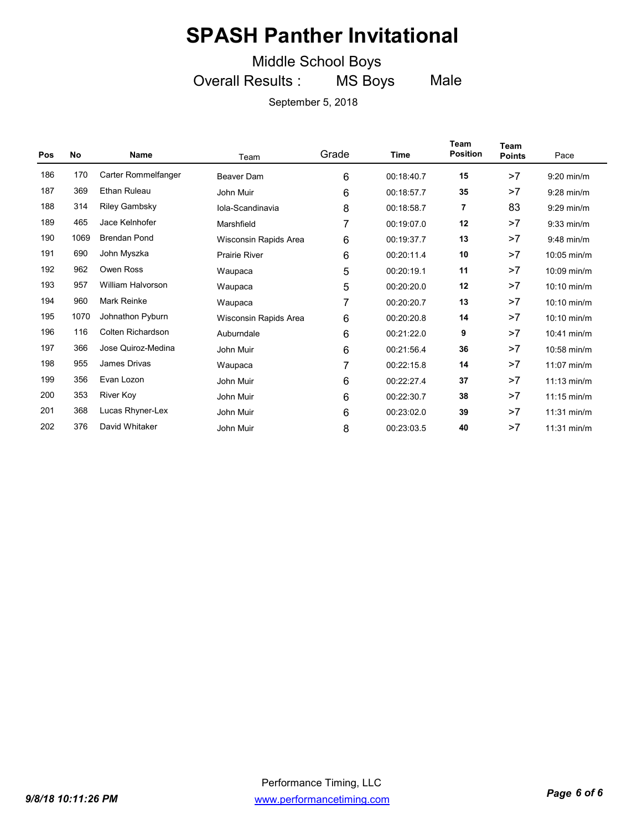Middle School Boys

Overall Results : MS Boys Male

| Pos | <b>No</b> | <b>Name</b>              | Team                  | Grade          | Time       | Team<br><b>Position</b> | Team<br><b>Points</b> | Pace                  |
|-----|-----------|--------------------------|-----------------------|----------------|------------|-------------------------|-----------------------|-----------------------|
| 186 | 170       | Carter Rommelfanger      | <b>Beaver Dam</b>     | $6\phantom{1}$ | 00:18:40.7 | 15                      | >7                    | $9:20$ min/m          |
| 187 | 369       | Ethan Ruleau             | John Muir             | $6\phantom{1}$ | 00:18:57.7 | 35                      | >7                    | $9:28$ min/m          |
| 188 | 314       | <b>Riley Gambsky</b>     | Iola-Scandinavia      | 8              | 00:18:58.7 | 7                       | 83                    | $9:29$ min/m          |
| 189 | 465       | Jace Kelnhofer           | Marshfield            | 7              | 00:19:07.0 | 12                      | >7                    | $9:33$ min/m          |
| 190 | 1069      | <b>Brendan Pond</b>      | Wisconsin Rapids Area | 6              | 00:19:37.7 | 13                      | >7                    | 9:48 min/m            |
| 191 | 690       | John Myszka              | <b>Prairie River</b>  | 6              | 00:20:11.4 | 10                      | >7                    | 10:05 min/m           |
| 192 | 962       | Owen Ross                | Waupaca               | 5              | 00:20:19.1 | 11                      | >7                    | 10:09 min/m           |
| 193 | 957       | <b>William Halvorson</b> | Waupaca               | 5              | 00:20:20.0 | 12                      | >7                    | 10:10 min/m           |
| 194 | 960       | Mark Reinke              | Waupaca               | 7              | 00:20:20.7 | 13                      | >7                    | 10:10 min/m           |
| 195 | 1070      | Johnathon Pyburn         | Wisconsin Rapids Area | 6              | 00:20:20.8 | 14                      | >7                    | 10:10 min/m           |
| 196 | 116       | Colten Richardson        | Auburndale            | 6              | 00:21:22.0 | 9                       | >7                    | 10:41 min/m           |
| 197 | 366       | Jose Quiroz-Medina       | John Muir             | 6              | 00:21:56.4 | 36                      | >7                    | 10:58 min/m           |
| 198 | 955       | <b>James Drivas</b>      | Waupaca               | 7              | 00:22:15.8 | 14                      | >7                    | $11:07$ min/m         |
| 199 | 356       | Evan Lozon               | John Muir             | 6              | 00:22:27.4 | 37                      | >7                    | $11:13$ min/m         |
| 200 | 353       | River Koy                | John Muir             | 6              | 00:22:30.7 | 38                      | >7                    | $11:15 \text{ min/m}$ |
| 201 | 368       | Lucas Rhyner-Lex         | John Muir             | 6              | 00:23:02.0 | 39                      | >7                    | $11:31$ min/m         |
| 202 | 376       | David Whitaker           | John Muir             | 8              | 00:23:03.5 | 40                      | >7                    | $11:31$ min/m         |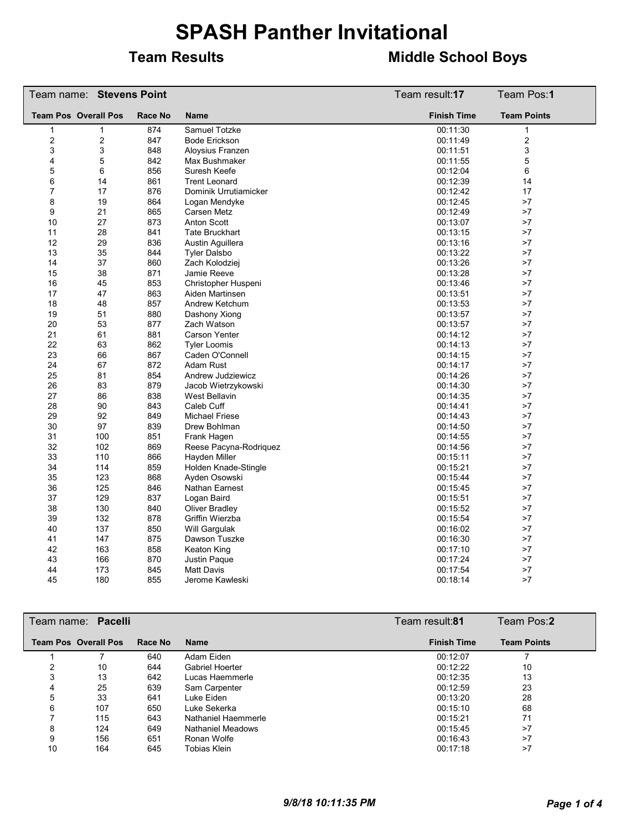#### **Team Results Middle School Boys**

|                             | Team name: Stevens Point |                |                        | Team result:17     | Team Pos:1         |
|-----------------------------|--------------------------|----------------|------------------------|--------------------|--------------------|
| <b>Team Pos Overall Pos</b> |                          | <b>Race No</b> | Name                   | <b>Finish Time</b> | <b>Team Points</b> |
| $\mathbf{1}$                | 1                        | 874            | Samuel Totzke          | 00:11:30           | $\mathbf{1}$       |
| $\overline{2}$              | 2                        | 847            | <b>Bode Erickson</b>   | 00:11:49           | $\overline{2}$     |
| 3                           | 3                        | 848            | Aloysius Franzen       | 00:11:51           | 3                  |
| 4                           | 5                        | 842            | Max Bushmaker          | 00:11:55           | 5                  |
| 5                           | 6                        | 856            | Suresh Keefe           | 00:12:04           | 6                  |
| 6                           | 14                       | 861            | <b>Trent Leonard</b>   | 00:12:39           | 14                 |
| $\overline{7}$              | 17                       | 876            | Dominik Urrutiamicker  | 00:12:42           | 17                 |
| 8                           | 19                       | 864            | Logan Mendyke          | 00:12:45           | >7                 |
| 9                           | 21                       | 865            | Carsen Metz            | 00:12:49           | >7                 |
| 10                          | 27                       | 873            | <b>Anton Scott</b>     | 00:13:07           | >7                 |
| 11                          | 28                       | 841            | Tate Bruckhart         | 00:13:15           | >7                 |
| 12                          | 29                       | 836            | Austin Aguillera       | 00:13:16           | >7                 |
| 13                          | 35                       | 844            | <b>Tyler Dalsbo</b>    | 00:13:22           | >7                 |
| 14                          | 37                       | 860            | Zach Kolodziej         | 00:13:26           | >7                 |
| 15                          | 38                       | 871            | Jamie Reeve            | 00:13:28           | >7                 |
| 16                          | 45                       | 853            | Christopher Huspeni    | 00:13:46           | >7                 |
| 17                          | 47                       | 863            | Aiden Martinsen        | 00:13:51           | >7                 |
| 18                          | 48                       | 857            | Andrew Ketchum         | 00:13:53           | >7                 |
| 19                          | 51                       | 880            | Dashony Xiong          | 00:13:57           | >7                 |
| 20                          | 53                       | 877            | Zach Watson            | 00:13:57           | >7                 |
| 21                          | 61                       | 881            | <b>Carson Yenter</b>   | 00:14:12           | >7                 |
| 22                          | 63                       | 862            | <b>Tyler Loomis</b>    | 00:14:13           | >7                 |
| 23                          | 66                       | 867            | Caden O'Connell        | 00:14:15           | >7                 |
| 24                          | 67                       | 872            | Adam Rust              | 00:14:17           | >7                 |
| 25                          | 81                       | 854            | Andrew Judziewicz      | 00:14:26           | >7                 |
| 26                          | 83                       | 879            | Jacob Wietrzykowski    | 00:14:30           | >7                 |
| 27                          | 86                       | 838            | West Bellavin          | 00:14:35           | >7                 |
| 28                          | 90                       | 843            | Caleb Cuff             | 00:14:41           | >7                 |
| 29                          | 92                       | 849            | <b>Michael Friese</b>  | 00:14:43           | >7                 |
| 30                          | 97                       | 839            | Drew Bohlman           | 00:14:50           | >7                 |
| 31                          | 100                      | 851            | Frank Hagen            | 00:14:55           | >7                 |
| 32                          | 102                      | 869            | Reese Pacyna-Rodriquez | 00:14:56           | >7                 |
| 33                          | 110                      | 866            | Hayden Miller          | 00:15:11           | >7                 |
| 34                          | 114                      | 859            | Holden Knade-Stingle   | 00:15:21           | >7                 |
| 35                          | 123                      | 868            | Ayden Osowski          | 00:15:44           | >7                 |
| 36                          | 125                      | 846            | Nathan Earnest         | 00:15:45           | >7                 |
| 37                          | 129                      | 837            | Logan Baird            | 00:15:51           | >7                 |
| 38                          | 130                      | 840            | Oliver Bradley         | 00:15:52           | >7                 |
| 39                          | 132                      | 878            | Griffin Wierzba        | 00:15:54           | >7                 |
| 40                          | 137                      | 850            | Will Gargulak          | 00:16:02           | >7                 |
| 41                          | 147                      | 875            | Dawson Tuszke          | 00:16:30           | >7                 |
| 42                          | 163                      | 858            | Keaton King            | 00:17:10           | >7                 |
| 43                          | 166                      | 870            | Justin Paque           | 00:17:24           | >7                 |
| 44                          | 173                      | 845            | <b>Matt Davis</b>      | 00:17:54           | >7                 |
| 45                          | 180                      | 855            | Jerome Kawleski        | 00:18:14           | >7                 |

|    | Team name: Pacelli          |         |                          | Team result: <b>81</b> | Team Pos:2         |
|----|-----------------------------|---------|--------------------------|------------------------|--------------------|
|    | <b>Team Pos Overall Pos</b> | Race No | <b>Name</b>              | <b>Finish Time</b>     | <b>Team Points</b> |
|    |                             | 640     | Adam Eiden               | 00:12:07               |                    |
| າ  | 10                          | 644     | Gabriel Hoerter          | 00:12:22               | 10                 |
| 3  | 13                          | 642     | Lucas Haemmerle          | 00:12:35               | 13                 |
| 4  | 25                          | 639     | Sam Carpenter            | 00:12:59               | 23                 |
| 5  | 33                          | 641     | Luke Eiden               | 00:13:20               | 28                 |
| 6  | 107                         | 650     | Luke Sekerka             | 00:15:10               | 68                 |
|    | 115                         | 643     | Nathaniel Haemmerle      | 00:15:21               | 71                 |
| 8  | 124                         | 649     | <b>Nathaniel Meadows</b> | 00:15:45               | >7                 |
| 9  | 156                         | 651     | Ronan Wolfe              | 00:16:43               | >7                 |
| 10 | 164                         | 645     | Tobias Klein             | 00:17:18               | >7                 |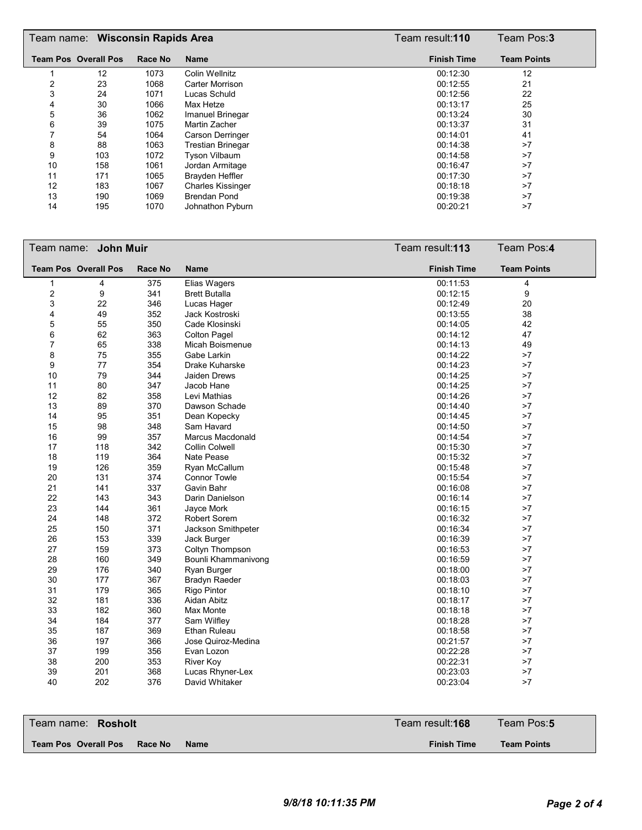|    | Team name: Wisconsin Rapids Area |         |                          | Team result:110    | Team Pos:3         |
|----|----------------------------------|---------|--------------------------|--------------------|--------------------|
|    | <b>Team Pos Overall Pos</b>      | Race No | <b>Name</b>              | <b>Finish Time</b> | <b>Team Points</b> |
|    | 12                               | 1073    | <b>Colin Wellnitz</b>    | 00:12:30           | 12                 |
| 2  | 23                               | 1068    | Carter Morrison          | 00:12:55           | 21                 |
| 3  | 24                               | 1071    | Lucas Schuld             | 00:12:56           | 22                 |
| 4  | 30                               | 1066    | Max Hetze                | 00:13:17           | 25                 |
| 5  | 36                               | 1062    | Imanuel Brinegar         | 00:13:24           | 30                 |
| 6  | 39                               | 1075    | Martin Zacher            | 00:13:37           | 31                 |
|    | 54                               | 1064    | Carson Derringer         | 00:14:01           | 41                 |
| 8  | 88                               | 1063    | <b>Trestian Brinegar</b> | 00:14:38           | >7                 |
| 9  | 103                              | 1072    | <b>Tyson Vilbaum</b>     | 00:14:58           | >7                 |
| 10 | 158                              | 1061    | Jordan Armitage          | 00:16:47           | >7                 |
| 11 | 171                              | 1065    | Brayden Heffler          | 00:17:30           | >7                 |
| 12 | 183                              | 1067    | <b>Charles Kissinger</b> | 00:18:18           | >7                 |
| 13 | 190                              | 1069    | <b>Brendan Pond</b>      | 00:19:38           | >7                 |
| 14 | 195                              | 1070    | Johnathon Pyburn         | 00:20:21           | >7                 |

|                | Team name: John Muir        |                |                      | Team result: 113   | Team Pos:4         |
|----------------|-----------------------------|----------------|----------------------|--------------------|--------------------|
|                | <b>Team Pos Overall Pos</b> | <b>Race No</b> | <b>Name</b>          | <b>Finish Time</b> | <b>Team Points</b> |
| 1              | 4                           | 375            | Elias Wagers         | 00:11:53           | 4                  |
| $\overline{c}$ | 9                           | 341            | <b>Brett Butalla</b> | 00:12:15           | 9                  |
| 3              | 22                          | 346            | Lucas Hager          | 00:12:49           | 20                 |
| 4              | 49                          | 352            | Jack Kostroski       | 00:13:55           | 38                 |
| 5              | 55                          | 350            | Cade Klosinski       | 00:14:05           | 42                 |
| 6              | 62                          | 363            | <b>Colton Pagel</b>  | 00:14:12           | 47                 |
| $\overline{7}$ | 65                          | 338            | Micah Boismenue      | 00:14:13           | 49                 |
| 8              | 75                          | 355            | Gabe Larkin          | 00:14:22           | >7                 |
| 9              | 77                          | 354            | Drake Kuharske       | 00:14:23           | >7                 |
| 10             | 79                          | 344            | <b>Jaiden Drews</b>  | 00:14:25           | >7                 |
| 11             | 80                          | 347            | Jacob Hane           | 00:14:25           | >7                 |
| 12             | 82                          | 358            | Levi Mathias         | 00:14:26           | >7                 |
| 13             | 89                          | 370            | Dawson Schade        | 00:14:40           | >7                 |
| 14             | 95                          | 351            | Dean Kopecky         | 00:14:45           | >7                 |
| 15             | 98                          | 348            | Sam Havard           | 00:14:50           | >7                 |
| 16             | 99                          | 357            | Marcus Macdonald     | 00:14:54           | >7                 |
| 17             | 118                         | 342            | Collin Colwell       | 00:15:30           | >7                 |
| 18             | 119                         | 364            | Nate Pease           | 00:15:32           | >7                 |
| 19             | 126                         | 359            | Ryan McCallum        | 00:15:48           | >7                 |
| 20             | 131                         | 374            | <b>Connor Towle</b>  | 00:15:54           | >7                 |
| 21             | 141                         | 337            | Gavin Bahr           | 00:16:08           | >7                 |
| 22             | 143                         | 343            | Darin Danielson      | 00:16:14           | >7                 |
| 23             | 144                         | 361            | Jayce Mork           | 00:16:15           | >7                 |
| 24             | 148                         | 372            | <b>Robert Sorem</b>  | 00:16:32           | >7                 |
| 25             | 150                         | 371            | Jackson Smithpeter   | 00:16:34           | >7                 |
| 26             | 153                         | 339            | Jack Burger          | 00:16:39           | >7                 |
| 27             | 159                         | 373            | Coltyn Thompson      | 00:16:53           | >7                 |
| 28             | 160                         | 349            | Bounli Khammanivong  | 00:16:59           | >7                 |
| 29             | 176                         | 340            | Ryan Burger          | 00:18:00           | >7                 |
| 30             | 177                         | 367            | <b>Bradyn Raeder</b> | 00:18:03           | >7                 |
| 31             | 179                         | 365            | <b>Rigo Pintor</b>   | 00:18:10           | >7                 |
| 32             | 181                         | 336            | Aidan Abitz          | 00:18:17           | >7                 |
| 33             | 182                         | 360            | Max Monte            | 00:18:18           | >7                 |
| 34             | 184                         | 377            | Sam Wilfley          | 00:18:28           | >7                 |
| 35             | 187                         | 369            | Ethan Ruleau         | 00:18:58           | >7                 |
| 36             | 197                         | 366            | Jose Quiroz-Medina   | 00:21:57           | >7                 |
| 37             | 199                         | 356            | Evan Lozon           | 00:22:28           | >7                 |
| 38             | 200                         | 353            | <b>River Koy</b>     | 00:22:31           | >7                 |
| 39             | 201                         | 368            | Lucas Rhyner-Lex     | 00:23:03           | >7                 |
| 40             | 202                         | 376            | David Whitaker       | 00:23:04           | >7                 |

| Team name: <b>Rosholt</b>                      | Team result: <b>168</b> | Team Pos:5         |
|------------------------------------------------|-------------------------|--------------------|
| Team Pos Overall Pos<br>Race No<br><b>Name</b> | <b>Finish Time</b>      | <b>Team Points</b> |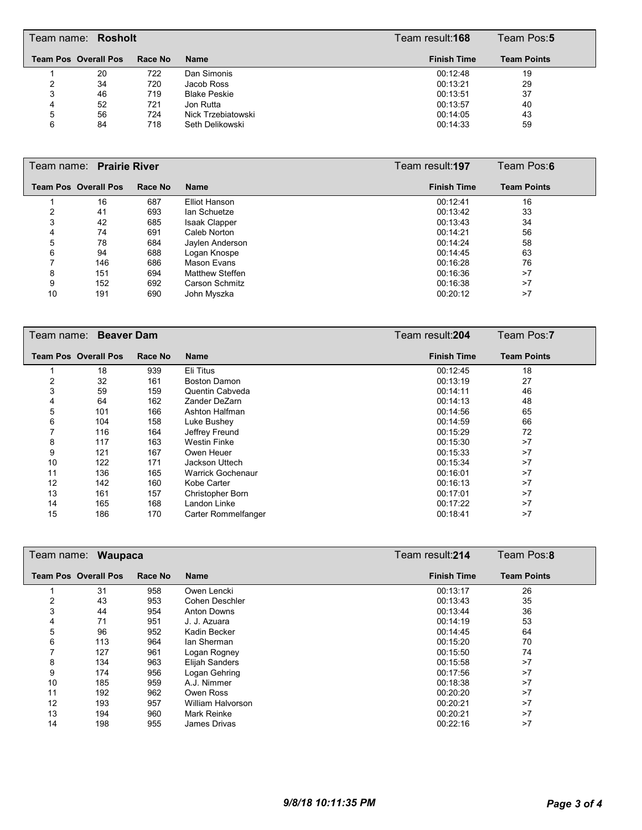|   | Team name: Rosholt          |         |                     | Team result:168    | Team Pos:5         |
|---|-----------------------------|---------|---------------------|--------------------|--------------------|
|   | <b>Team Pos Overall Pos</b> | Race No | <b>Name</b>         | <b>Finish Time</b> | <b>Team Points</b> |
|   | 20                          | 722     | Dan Simonis         | 00:12:48           | 19                 |
|   | 34                          | 720     | Jacob Ross          | 00:13:21           | 29                 |
|   | 46                          | 719     | <b>Blake Peskie</b> | 00:13:51           | 37                 |
| 4 | 52                          | 721     | Jon Rutta           | 00:13:57           | 40                 |
| 5 | 56                          | 724     | Nick Trzebiatowski  | 00:14:05           | 43                 |
| 6 | 84                          | 718     | Seth Delikowski     | 00:14:33           | 59                 |

| Team name: Prairie River |                             |         |                        | Team result: <b>197</b> | Team Pos:6         |
|--------------------------|-----------------------------|---------|------------------------|-------------------------|--------------------|
|                          | <b>Team Pos Overall Pos</b> | Race No | <b>Name</b>            | <b>Finish Time</b>      | <b>Team Points</b> |
|                          | 16                          | 687     | Elliot Hanson          | 00:12:41                | 16                 |
| 2                        | 41                          | 693     | lan Schuetze           | 00:13:42                | 33                 |
| 3                        | 42                          | 685     | <b>Isaak Clapper</b>   | 00:13:43                | 34                 |
| 4                        | 74                          | 691     | Caleb Norton           | 00:14:21                | 56                 |
| 5                        | 78                          | 684     | Jaylen Anderson        | 00:14:24                | 58                 |
| 6                        | 94                          | 688     | Logan Knospe           | 00:14:45                | 63                 |
|                          | 146                         | 686     | Mason Evans            | 00:16:28                | 76                 |
| 8                        | 151                         | 694     | <b>Matthew Steffen</b> | 00:16:36                | >7                 |
| 9                        | 152                         | 692     | Carson Schmitz         | 00:16:38                | >7                 |
| 10                       | 191                         | 690     | John Myszka            | 00:20:12                | >7                 |

|    | Team name: Beaver Dam       |         |                          | Team result: 204   | Team Pos:7         |
|----|-----------------------------|---------|--------------------------|--------------------|--------------------|
|    | <b>Team Pos Overall Pos</b> | Race No | <b>Name</b>              | <b>Finish Time</b> | <b>Team Points</b> |
|    | 18                          | 939     | Eli Titus                | 00:12:45           | 18                 |
| 2  | 32                          | 161     | Boston Damon             | 00:13:19           | 27                 |
| 3  | 59                          | 159     | Quentin Cabveda          | 00:14:11           | 46                 |
| 4  | 64                          | 162     | Zander DeZarn            | 00:14:13           | 48                 |
| 5  | 101                         | 166     | Ashton Halfman           | 00:14:56           | 65                 |
| 6  | 104                         | 158     | Luke Bushey              | 00:14:59           | 66                 |
| 7  | 116                         | 164     | Jeffrey Freund           | 00:15:29           | 72                 |
| 8  | 117                         | 163     | Westin Finke             | 00:15:30           | >7                 |
| 9  | 121                         | 167     | Owen Heuer               | 00:15:33           | >7                 |
| 10 | 122                         | 171     | Jackson Uttech           | 00:15:34           | >7                 |
| 11 | 136                         | 165     | <b>Warrick Gochenaur</b> | 00:16:01           | >7                 |
| 12 | 142                         | 160     | Kobe Carter              | 00:16:13           | >7                 |
| 13 | 161                         | 157     | Christopher Born         | 00:17:01           | >7                 |
| 14 | 165                         | 168     | Landon Linke             | 00:17:22           | >7                 |
| 15 | 186                         | 170     | Carter Rommelfanger      | 00:18:41           | >7                 |

| Team name:<br><b>Waupaca</b> |                             |         |                    | Team result: 214   | Team Pos:8         |
|------------------------------|-----------------------------|---------|--------------------|--------------------|--------------------|
|                              | <b>Team Pos Overall Pos</b> | Race No | <b>Name</b>        | <b>Finish Time</b> | <b>Team Points</b> |
|                              | 31                          | 958     | Owen Lencki        | 00:13:17           | 26                 |
| 2                            | 43                          | 953     | Cohen Deschler     | 00:13:43           | 35                 |
| 3                            | 44                          | 954     | <b>Anton Downs</b> | 00:13:44           | 36                 |
| 4                            | 71                          | 951     | J. J. Azuara       | 00:14:19           | 53                 |
| 5                            | 96                          | 952     | Kadin Becker       | 00:14:45           | 64                 |
| 6                            | 113                         | 964     | lan Sherman        | 00:15:20           | 70                 |
|                              | 127                         | 961     | Logan Rogney       | 00:15:50           | 74                 |
| 8                            | 134                         | 963     | Elijah Sanders     | 00:15:58           | >7                 |
| 9                            | 174                         | 956     | Logan Gehring      | 00:17:56           | >7                 |
| 10                           | 185                         | 959     | A.J. Nimmer        | 00:18:38           | >7                 |
| 11                           | 192                         | 962     | Owen Ross          | 00:20:20           | >7                 |
| 12                           | 193                         | 957     | William Halvorson  | 00:20:21           | >7                 |
| 13                           | 194                         | 960     | Mark Reinke        | 00:20:21           | >7                 |
| 14                           | 198                         | 955     | James Drivas       | 00:22:16           | >7                 |